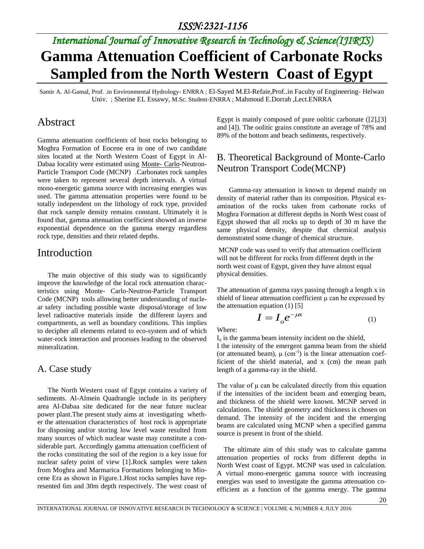# *International Journal of Innovative Research in Technology & Science(IJIRTS)* **Gamma Attenuation Coefficient of Carbonate Rocks Sampled from the North Western Coast of Egypt**

Samir A. Al-Gamal, Prof. .in Environmental Hydrology- ENRRA ; El-Sayed M.El-Refaie,Prof..in Faculty of Engineering- Helwan Univ. ; Sherine EL Essawy, M.Sc. Student-ENRRA ; Mahmoud E.Dorrah ,Lect.ENRRA

# Abstract

Gamma attenuation coefficients of host rocks belonging to Moghra Formation of Eocene era in one of two candidate sites located at the North Western Coast of Egypt in Al-Dabaa locality were estimated using Monte- Carlo-Neutron-Particle Transport Code (MCNP) .Carbonates rock samples were taken to represent several depth intervals. A virtual mono-energetic gamma source with increasing energies was used. The gamma attenuation properties were found to be totally independent on the lithology of rock type, provided that rock sample density remains constant. Ultimately it is found that, gamma attenuation coefficient showed an inverse exponential dependence on the gamma energy regardless rock type, densities and their related depths.

# Introduction

 The main objective of this study was to significantly improve the knowledge of the local rock attenuation characteristics using Monte- Carlo-Neutron-Particle Transport Code (MCNP) tools allowing better understanding of nuclear safety including possible waste disposal/storage of low level radioactive materials inside the different layers and compartments, as well as boundary conditions. This implies to decipher all elements related to eco-system and of which water-rock interaction and processes leading to the observed mineralization.

#### A. Case study

 The North Western coast of Egypt contains a variety of sediments. Al-Almein Quadrangle include in its periphery area Al-Dabaa site dedicated for the near future nuclear power plant.The present study aims at investigating whether the attenuation characteristics of host rock is appropriate for disposing and/or storing low level waste resulted from many sources of which nuclear waste may constitute a considerable part. Accordingly gamma attenuation coefficient of the rocks constituting the soil of the region is a key issue for nuclear safety point of view [1].Rock samples were taken from Moghra and Marmarica Formations belonging to Miocene Era as shown in Figure.1.Host rocks samples have represented 6m and 30m depth respectively. The west coast of

Egypt is mainly composed of pure oolitic carbonate ([2],[3] and [4]). The oolitic grains constitute an average of 78% and 89% of the bottom and beach sediments, respectively.

### B. Theoretical Background of Monte-Carlo Neutron Transport Code(MCNP)

 Gamma-ray attenuation is known to depend mainly on density of material rather than its composition. Physical examination of the rocks taken from carbonate rocks of Moghra Formation at different depths in North West coast of Egypt showed that all rocks up to depth of 30 m have the same physical density, despite that chemical analysis demonstrated some change of chemical structure.

MCNP code was used to verify that attenuation coefficient will not be different for rocks from different depth in the north west coast of Egypt, given they have almost equal physical densities.

The attenuation of gamma rays passing through a length x in shield of linear attenuation coefficient μ can be expressed by the attenuation equation  $(1)$  [5]

$$
I = I_o e^{-\mu x}
$$
 (1)

Where:

 $I<sub>o</sub>$  is the gamma beam intensity incident on the shield,

I the intensity of the emergent gamma beam from the shield (or attenuated beam),  $\mu$  (cm<sup>-1</sup>) is the linear attenuation coefficient of the shield material, and x (cm) the mean path length of a gamma-ray in the shield.

The value of μ can be calculated directly from this equation if the intensities of the incident beam and emerging beam, and thickness of the shield were known. MCNP served in calculations. The shield geometry and thickness is chosen on demand. The intensity of the incident and the emerging beams are calculated using MCNP when a specified gamma source is present in front of the shield.

 The ultimate aim of this study was to calculate gamma attenuation properties of rocks from different depths in North West coast of Egypt. MCNP was used in calculation. A virtual mono-energetic gamma source with increasing energies was used to investigate the gamma attenuation coefficient as a function of the gamma energy. The gamma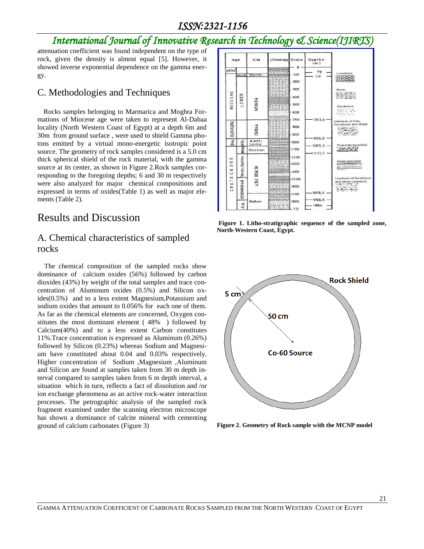# *International Journal of Innovative Research in Technology & Science(IJIRTS)*

attenuation coefficient was found independent on the type of rock, given the density is almost equal [5]. However, it showed inverse exponential dependence on the gamma energy.

#### C. Methodologies and Techniques

 Rocks samples belonging to Marmarica and Moghra Formations of Miocene age were taken to represent Al-Dabaa locality (North Western Coast of Egypt) at a depth 6m and 30m from ground surface , were used to shield Gamma photons emitted by a virtual mono-energetic isotropic point source. The geometry of rock samples considered is a 5.0 cm thick spherical shield of the rock material, with the gamma source at its center, as shown in Figure 2.Rock samples corresponding to the foregoing depths; 6 and 30 m respectively were also analyzed for major chemical compositions and expressed in terms of oxides(Table 1) as well as major elements (Table 2).

# Results and Discussion

### A. Chemical characteristics of sampled rocks

 The chemical composition of the sampled rocks show dominance of calcium oxides (56%) followed by carbon dioxides (43%) by weight of the total samples and trace concentration of Aluminum oxides (0.5%) and Silicon oxides(0.5%) and to a less extent Magnesium,Potassium and sodium oxides that amount to 0.056% for each one of them. As far as the chemical elements are concerned, Oxygen constitutes the most dominant element ( 48% ) followed by Calcium(40%) and to a less extent Carbon constitutes 11%.Trace concentration is expressed as Aluminum (0.26%) followed by Silicon (0.23%) whereas Sodium and Magnesium have constituted about 0.04 and 0.03% respectively. Higher concentration of Sodium ,Magnesium ,Aluminum and Silicon are found at samples taken from 30 m depth interval compared to samples taken from 6 m depth interval, a situation which in turn, reflects a fact of dissolution and /or ion exchange phenomena as an active rock-water interaction processes. The petrographic analysis of the sampled rock fragment examined under the scanning electron microscope has shown a dominance of calcite mineral with cementing ground of calcium carbonates (Figure 3)



**Figure 1. Litho-stratigraphic sequence of the sampled zone, North-Western Coast, Egypt.**



**Figure 2. Geometry of Rock sample with the MCNP model**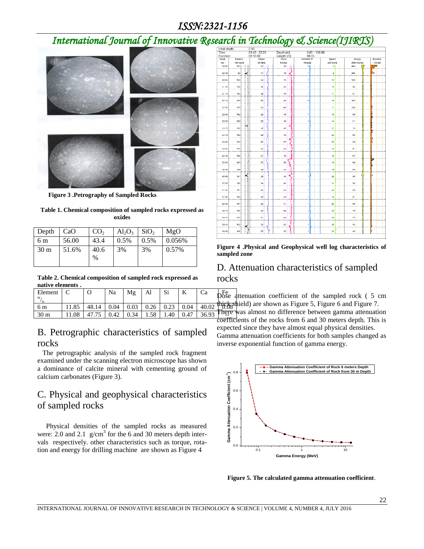# *International Journal of Innovative Research in Technology & Science(IJIRTS)*



 **Figure 3 .Petrography of Sampled Rocks**

**Table 1. Chemical composition of sampled rocks expressed as oxides**

| Depth           | CaO   | CO <sub>2</sub> | $Al_2O_3$ | SiO <sub>2</sub> | MgO    |
|-----------------|-------|-----------------|-----------|------------------|--------|
| 6 m             | 56.00 | 43.4            | 0.5%      | 0.5%             | 0.056% |
| 30 <sub>m</sub> | 51.6% | 40.6<br>$\%$    | 3%        | 3%               | 0.57%  |

**Table 2. Chemical composition of sampled rock expressed as native elements .**

| Initial depth:                |          | 0.00                        |         |            |                   |                 |                |               |             |                            |
|-------------------------------|----------|-----------------------------|---------|------------|-------------------|-----------------|----------------|---------------|-------------|----------------------------|
| Time:<br>Duration:            |          | $09:42 - 22:23$<br>06:10:49 |         | Depth [m]: |                   | $0.05 - 100.00$ |                |               |             |                            |
|                               |          |                             |         | Length [m] |                   | 99.95           |                |               |             |                            |
| Dopth                         | Rotation |                             | Torque  | Force      | <b>AirWater P</b> |                 | Spood          |               | Energy      | <b>Duration</b><br>120 [5] |
| 180 [rpm]<br>[ <sub>m</sub> ] |          |                             | 60 (Nm) | 60 [Kg]    | 10 [bar]          |                 | 450 [m/h]      |               | 2660 [KJ/m] |                            |
| 20.05                         | 163      |                             | 22      | 38         | o                 |                 | з              | 484           |             |                            |
| 20.46                         | 80       | ÷                           | 17      | 16         | ٦                 |                 | $\overline{a}$ | 268           |             |                            |
| 20.85                         | 162      |                             | 26      | 44         | 1                 |                 | 12             | 128           |             |                            |
| 21.25                         | 158      |                             | 25      | 45         | H,                |                 | 16             | 90            |             |                            |
| 21.70                         | 163      |                             | 26      | 46         | 1                 |                 | 17             | 91            |             |                            |
| 22.10                         | 165      |                             | 26      | 43         | D                 |                 | 16             | 102           |             |                            |
| 22.50                         | 105      |                             | 22      | 46         | 1                 |                 | 11             | 120           |             |                            |
| 22.95                         | 162      |                             | 26      | 46         | 1                 |                 | 18             | 88            |             |                            |
| 23.35                         | 165      |                             | 25      | 46         | 1                 |                 | 14             | 111           |             |                            |
| 23.75                         | 160      |                             | 26      | 46         | 1                 |                 | 21             | 75            |             |                            |
| 24.16                         | 162      |                             | 26      | 46         | 1                 |                 | 23             | 88            |             |                            |
| 24.60                         | 165      |                             | 20      | 27         | 1                 |                 | 22             | 56            |             |                            |
| 25.00                         | 103      |                             | 24      | 44         | 4                 |                 | 10             | 91            |             |                            |
| 26.40                         | 160      |                             | 21      | 46         | 1                 |                 | 16             | 84            |             |                            |
| 25.85                         | 165      |                             | 23      | 38         | 4                 |                 | 16             | 88            |             |                            |
| 26.26                         | 106      |                             | 29      | 40         | h,                |                 | 19             | 95            |             |                            |
| 26.65                         | 157      | æ                           | 36      | 46         | 1                 |                 | 22             | 96            |             |                            |
| 27.05                         | 100      |                             | 34      | 43         | ٠                 |                 | 31             | <b>C&amp;</b> |             |                            |
| 27.60                         | 167      |                             | 30      | 42         | 1                 |                 | 22             | 80            |             |                            |
| 27.90                         | 162      |                             | 26      | 43         | 1                 |                 | 18             | 91            |             |                            |
| 28.30                         | 167      |                             | 23      | 41         | 1                 |                 | 23             | co            |             |                            |
| 28.75                         | 160      |                             | 26      | 44         | 1                 |                 | 20             | 76            |             |                            |
| 29.15                         | 102      |                             | 31      | 40         | 1                 |                 | 20             | 72            |             |                            |
| 29.55                         | 162      |                             | 26      | 36         | 1                 |                 | 29             | 66            |             |                            |
| 30.00                         | 160      |                             | 25      | 35         | 1                 |                 | 33             | 45            |             |                            |

**Figure 4 .Physical and Geophysical well log characteristics of sampled zone**

#### D. Attenuation characteristics of sampled rocks

| Element         |      |       | Na   | Mg   | Al   | -Si  |      |       | $\overline{\text{Dose}}$ attenuation coefficient of the sampled rock (5 cm                                                       |
|-----------------|------|-------|------|------|------|------|------|-------|----------------------------------------------------------------------------------------------------------------------------------|
| 6 m             |      | 48.14 | 0.04 | 0.03 | 0.26 | 0.23 | 0.04 | 40.02 | <b>thick</b> <sub>s</sub> thield) are shown as Figure 5, Figure 6 and Figure 7.                                                  |
| 30 <sub>m</sub> | 1.08 |       | 0.42 | 0.34 | 1.58 | 1.40 | 0.47 | 36.93 | <b>There</b> was almost no difference between gamma attenuation<br>coofficients of the rocks from 6 and 30 meters donth. This is |
|                 |      |       |      |      |      |      |      |       |                                                                                                                                  |

#### B. Petrographic characteristics of sampled rocks

 The petrographic analysis of the sampled rock fragment examined under the scanning electron microscope has shown a dominance of calcite mineral with cementing ground of calcium carbonates (Figure 3).

# C. Physical and geophysical characteristics of sampled rocks

 Physical densities of the sampled rocks as measured were: 2.0 and 2.1  $g/cm<sup>3</sup>$  for the 6 and 30 meters depth intervals respectively. other characteristics such as torque, rotation and energy for drilling machine are shown as Figure 4

**There** was almost no difference between gamma attenuation coefficients of the rocks from 6 and 30 meters depth. This is expected since they have almost equal physical densities. Gamma attenuation coefficients for both samples changed as inverse exponential function of gamma energy.



**Figure 5. The calculated gamma attenuation coefficient**.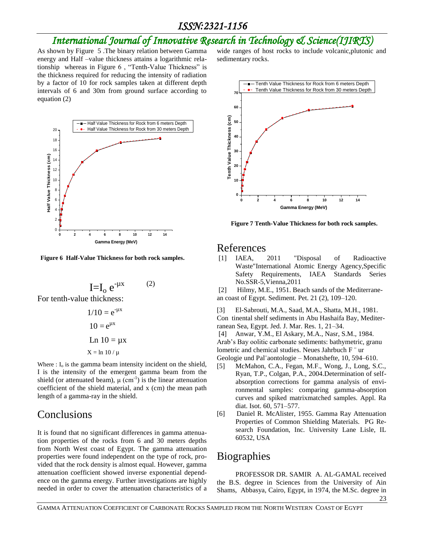# *International Journal of Innovative Research in Technology & Science(IJIRTS)*

As shown by Figure 5 .The binary relation between Gamma energy and Half –value thickness attains a logarithmic relationship whereas in Figure 6 , "Tenth-Value Thickness" is the thickness required for reducing the intensity of radiation by a factor of 10 for rock samples taken at different depth intervals of 6 and 30m from ground surface according to equation (2)



 **Figure 6 Half-Value Thickness for both rock samples.**

$$
I=I_o e^{-\mu x}
$$
 (2)

For tenth-value thickness:

$$
1/10 = e^{-\mu x}
$$

$$
10 = e^{\mu x}
$$

$$
Ln 10 = \mu x
$$

$$
X = \ln 10 / \mu
$$

Where  $: I_0$  is the gamma beam intensity incident on the shield, I is the intensity of the emergent gamma beam from the shield (or attenuated beam),  $\mu$  (cm<sup>-1</sup>) is the linear attenuation coefficient of the shield material, and x (cm) the mean path length of a gamma-ray in the shield.

# Conclusions

It is found that no significant differences in gamma attenuation properties of the rocks from 6 and 30 meters depths from North West coast of Egypt. The gamma attenuation properties were found independent on the type of rock, provided that the rock density is almost equal. However, gamma attenuation coefficient showed inverse exponential dependence on the gamma energy. Further investigations are highly needed in order to cover the attenuation characteristics of a

wide ranges of host rocks to include volcanic,plutonic and sedimentary rocks.



 **Figure 7 Tenth-Value Thickness for both rock samples.**

#### References

[1] IAEA, 2011 "Disposal of Radioactive Waste"International Atomic Energy Agency,Specific Safety Requirements, IAEA Standards Series No.SSR-5,Vienna,2011

[2] Hilmy, M.E., 1951. Beach sands of the Mediterranean coast of Egypt. Sediment. Pet. 21 (2), 109–120.

[3] El-Sabrouti, M.A., Saad, M.A., Shatta, M.H., 1981. Con tinental shelf sediments in Abu Hashaifa Bay, Mediterranean Sea, Egypt. Jed. J. Mar. Res. 1, 21–34.

[4] Anwar, Y.M., El Askary, M.A., Nasr, S.M., 1984. Arab's Bay oolitic carbonate sediments: bathymetric, granu lometric and chemical studies. Neues Jahrbuch F ¨ ur Geologie und Pal¨aontologie – Monatshefte, 10, 594–610.

- [5] McMahon, C.A., Fegan, M.F., Wong, J., Long, S.C., Ryan, T.P., Colgan, P.A., 2004.Determination of selfabsorption corrections for gamma analysis of environmental samples: comparing gamma-absorption curves and spiked matrixmatched samples. Appl. Ra diat. Isot. 60, 571–577.
- [6] Daniel R. McAlister, 1955. Gamma Ray Attenuation Properties of Common Shielding Materials. PG Research Foundation, Inc. University Lane Lisle, IL 60532, USA

# **Biographies**

PROFESSOR DR. SAMIR A. AL-GAMAL received the B.S. degree in Sciences from the University of Ain Shams, Abbasya, Cairo, Egypt, in 1974, the M.Sc. degree in

GAMMA ATTENUATION COEFFICIENT OF CARBONATE ROCKS SAMPLED FROM THE NORTH WESTERN COAST OF EGYPT

23